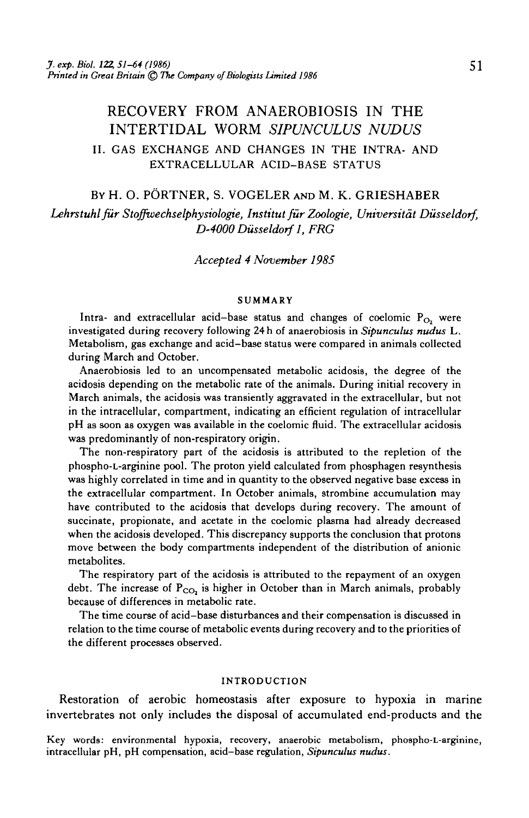# RECOVERY FROM ANAEROBIOSIS IN THE INTERTIDAL WORM *SIPUNCULUS NUDUS* II. GAS EXCHANGE AND CHANGES IN THE INTRA- AND EXTRACELLULAR ACID-BASE STATUS

BY H. O. PORTNER, S. VOGELER AND M. K. GRIESHABER *Lehrstuhl fur Stoffwechselphysiologie, Institutfur Zoologie, Universitdt Diisseldorf, D-4000Dusseldorfl, FRG*

*Accepted 4 November 1985*

#### SUMMARY

Intra- and extracellular acid-base status and changes of coelomic  $P_{O_2}$  were investigated during recovery following 24 h of anaerobiosis in *Sipunculus nudus* L. Metabolism, gas exchange and acid—base status were compared in animals collected during March and October.

Anaerobiosis led to an uncompensated metabolic acidosis, the degree of the acidosis depending on the metabolic rate of the animals. During initial recovery in March animals, the acidosis was transiently aggravated in the extracellular, but not in the intracellular, compartment, indicating an efficient regulation of intracellular pH as soon as oxygen was available in the coelomic fluid. The extracellular acidosis was predominantly of non-respiratory origin.

The non-respiratory part of the acidosis is attributed to the repletion of the phospho-L-arginine pool. The proton yield calculated from phosphagen resynthesis was highly correlated in time and in quantity to the observed negative base excess in the extracellular compartment. In October animals, strombine accumulation may have contributed to the acidosis that develops during recovery. The amount of succinate, propionate, and acetate in the coelomic plasma had already decreased when the acidosis developed. This discrepancy supports the conclusion that protons move between the body compartments independent of the distribution of anionic metabolites.

The respiratory part of the acidosis is attributed to the repayment of an oxygen debt. The increase of  $P_{CO_2}$  is higher in October than in March animals, probably because of differences in metabolic rate.

The time course of acid-base disturbances and their compensation is discussed in relation to the time course of metabolic events during recovery and to the priorities of the different processes observed.

#### INTRODUCTION

Restoration of aerobic homeostasis after exposure to hypoxia in marine invertebrates not only includes the disposal of accumulated end-products and the

Key words: environmental hypoxia, recovery, anaerobic metabolism, phospho-L-arginine, intracellular pH, pH compensation, acid-base regulation, *Sipunculus nudus.*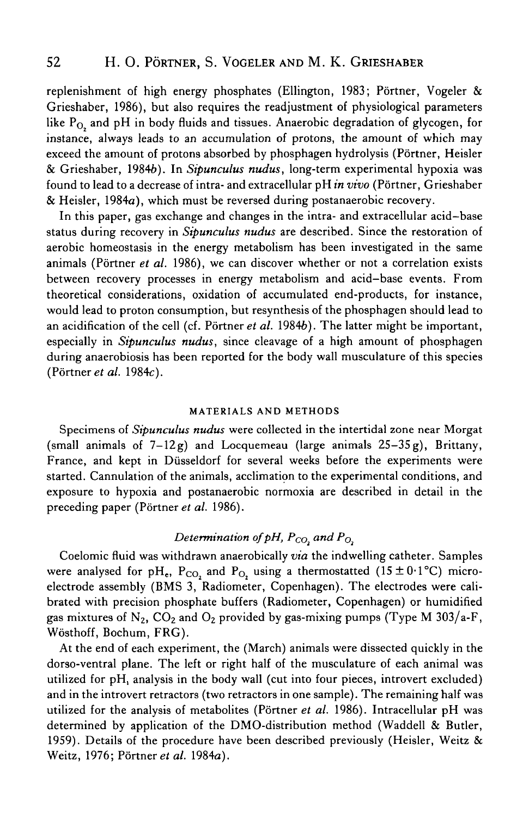replenishment of high energy phosphates (Ellington, 1983; Pörtner, Vogeler & Grieshaber, 1986), but also requires the readjustment of physiological parameters like  $P_{\Omega}$  and pH in body fluids and tissues. Anaerobic degradation of glycogen, for instance, always leads to an accumulation of protons, the amount of which may exceed the amount of protons absorbed by phosphagen hydrolysis (Pörtner, Heisler & Grieshaber, 19846). In *Sipunculus nudus,* long-term experimental hypoxia was found to lead to a decrease of intra- and extracellular pH *in vivo* (Portner, Grieshaber & Heisler, 1984a), which must be reversed during postanaerobic recovery.

In this paper, gas exchange and changes in the intra- and extracellular acid—base status during recovery in *Sipunculus nudus* are described. Since the restoration of aerobic homeostasis in the energy metabolism has been investigated in the same animals (Portner *et al.* 1986), we can discover whether or not a correlation exists between recovery processes in energy metabolism and acid—base events. From theoretical considerations, oxidation of accumulated end-products, for instance, would lead to proton consumption, but resynthesis of the phosphagen should lead to an acidification of the cell (cf. Portner *et al.* 19846). The latter might be important, especially in *Sipunculus nudus,* since cleavage of a high amount of phosphagen during anaerobiosis has been reported for the body wall musculature of this species (Portner *et al.* 1984c).

#### **MATERIALS AND METHODS**

Specimens of *Sipunculus nudus* were collected in the intertidal zone near Morgat (small animals of  $7-12g$ ) and Locquemeau (large animals  $25-35g$ ), Brittany, France, and kept in Diisseldorf for several weeks before the experiments were started. Cannulation of the animals, acclimation to the experimental conditions, and exposure to hypoxia and postanaerobic normoxia are described in detail in the preceding paper (Portner *et al.* 1986).

## *Determination of pH,*  $P_{CO_2}$  *and*  $P_{O_2}$

Coelomic fluid was withdrawn anaerobically *via* the indwelling catheter. Samples were analysed for pH<sub>e</sub>, P<sub>CO<sub>2</sub> and P<sub>O</sub><sub>2</sub> using a thermostatted (15 ± 0·1°C) micro-</sub> electrode assembly (BMS 3, Radiometer, Copenhagen). The electrodes were calibrated with precision phosphate buffers (Radiometer, Copenhagen) or humidified gas mixtures of  $N_2$ ,  $CO_2$  and  $O_2$  provided by gas-mixing pumps (Type M 303/a-F, Wosthoff, Bochum, FRG).

At the end of each experiment, the (March) animals were dissected quickly in the dorso-ventral plane. The left or right half of the musculature of each animal was utilized for pH, analysis in the body wall (cut into four pieces, introvert excluded) and in the introvert retractors (two retractors in one sample). The remaining half was utilized for the analysis of metabolites (Portner *et al.* 1986). Intracellular pH was determined by application of the DMO-distribution method (Waddell & Butler, 1959). Details of the procedure have been described previously (Heisler, Weitz & Weitz, 1976; Portner *et al.* 1984a).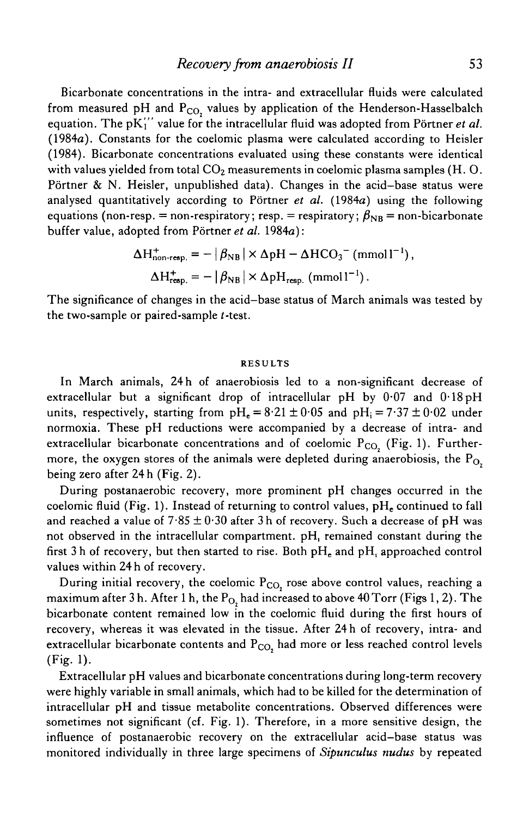Bicarbonate concentrations in the intra- and extracellular fluids were calculated from measured pH and  $P_{CO}$ , values by application of the Henderson-Hasselbalch equation. The pK'i' value for the intracellular fluid was adopted from Portner *et al.* (1984a). Constants for the coelomic plasma were calculated according to Heisler (1984). Bicarbonate concentrations evaluated using these constants were identical with values yielded from total  $CO<sub>2</sub>$  measurements in coelomic plasma samples (H. O. Pörtner  $\& N.$  Heisler, unpublished data). Changes in the acid-base status were analysed quantitatively according to Portner *et al.* (1984a) using the following equations (non-resp. = non-respiratory; resp. = respiratory;  $\beta_{NB}$  = non-bicarbonate buffer value, adopted from Portner *et al.* 1984a):

$$
\Delta H_{\text{non-regp.}}^{+} = - | \beta_{\text{NB}} | \times \Delta \text{pH} - \Delta \text{HCO}_{3}^{-} \text{ (mmol1}^{-1}\text{)},
$$
  

$$
\Delta H_{\text{regp.}}^{+} = - | \beta_{\text{NB}} | \times \Delta \text{pH}_{\text{regp.}} \text{ (mmol1}^{-1}\text{)}.
$$

The significance of changes in the acid-base status of March animals was tested by the two-sample or paired-sample f-test.

#### RESULTS

In March animals, 24 h of anaerobiosis led to a non-significant decrease of extracellular but a significant drop of intracellular pH by 0- 07 and 0- 18pH units, respectively, starting from  $pH_e = 8.21 \pm 0.05$  and  $pH_i = 7.37 \pm 0.02$  under normoxia. These pH reductions were accompanied by a decrease of intra- and extracellular bicarbonate concentrations and of coelomic  $P_{CO}$  (Fig. 1). Furthermore, the oxygen stores of the animals were depleted during anaerobiosis, the  $P_{O_2}$ being zero after 24 h (Fig. 2).

During postanaerobic recovery, more prominent pH changes occurred in the coelomic fluid (Fig. 1). Instead of returning to control values,  $pH<sub>r</sub>$  continued to fall and reached a value of  $7.85 \pm 0.30$  after 3 h of recovery. Such a decrease of pH was not observed in the intracellular compartment. pH, remained constant during the first 3 h of recovery, but then started to rise. Both  $\rm pH_{e}$  and  $\rm pH_{i}$  approached control values within 24 h of recovery.

During initial recovery, the coelomic  $P_{CO}$ , rose above control values, reaching a maximum after 3 h. After 1 h, the  $P_{O_2}$  had increased to above 40 Torr (Figs 1, 2). The bicarbonate content remained low in the coelomic fluid during the first hours of recovery, whereas it was elevated in the tissue. After 24 h of recovery, intra- and extracellular bicarbonate contents and  $P_{CO}$ , had more or less reached control levels (Fig. 1).

Extracellular pH values and bicarbonate concentrations during long-term recovery were highly variable in small animals, which had to be killed for the determination of intracellular pH and tissue metabolite concentrations. Observed differences were sometimes not significant (cf. Fig. 1). Therefore, in a more sensitive design, the influence of postanaerobic recovery on the extracellular acid—base status was monitored individually in three large specimens of *Sipunculus nudus* by repeated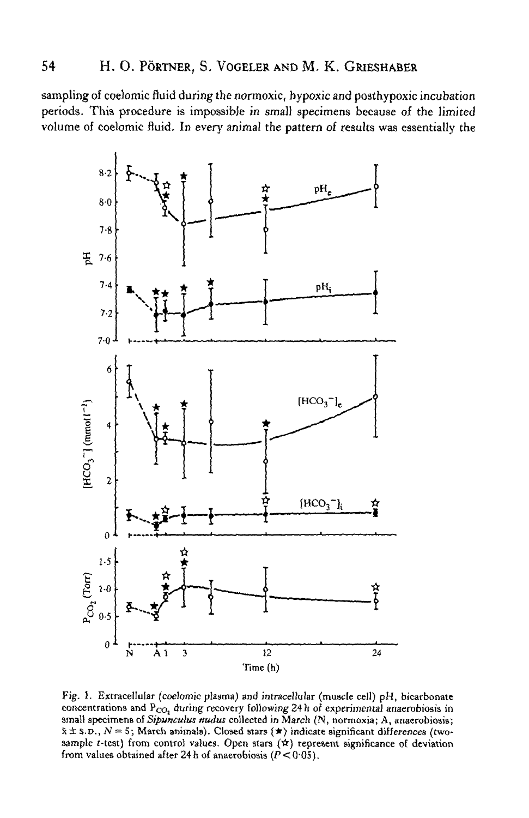sampling of coelomic fluid during the normoxic, hypoxic and poathypoxic incubation periods. This procedure is impossibJe *in* small specimens because of the limited volume of coelomic fluid. In every animal the pattern of results was essentially the



Fig. 3. Extracellular (coelomic plasma) and intracellular (muscle cell) pH, bicarbonate concentrations and  $P_{CO_2}$  during recovery following 24 h of experimental anaerobiosis in small specimens *oiSipunculus nudus* collected in March (N, normoxia; A, anaerobiosis;  $\bar{x} \pm s.p., N = 5;$  March animals). Closed stars  $(\star)$  indicate significant differences (twosample *t*-test) from control values. Open stars ( $\angle$ ) represent significance of deviation from values obtained after 24 h of anaerobiosis ( $\hat{P}$  < 0.05).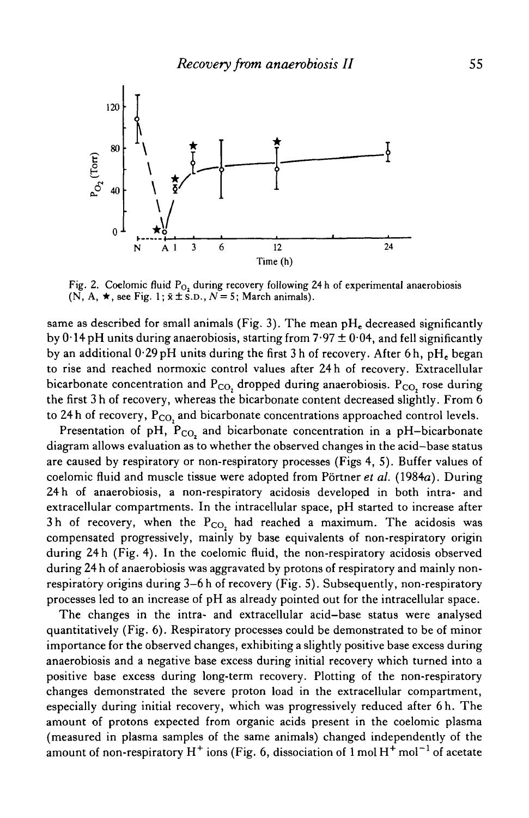

Fig. 2. Coelomic fluid  $P_{O_2}$  during recovery following 24 h of experimental anaerobiosis  $(N, A, \star,$  see Fig. 1;  $\bar{x} \pm$  s.d.,  $N=5$ ; March animals).

same as described for small animals (Fig. 3). The mean  $pH<sub>c</sub>$  decreased significantly by  $0.14$  pH units during anaerobiosis, starting from  $7.97 \pm 0.04$ , and fell significantly by an additional  $0.29$  pH units during the first 3 h of recovery. After 6 h, pH<sub>e</sub> began to rise and reached normoxic control values after 24 h of recovery. Extracellular bicarbonate concentration and  $P_{CO_2}$  dropped during anaerobiosis.  $P_{CO_2}$  rose during the first 3 h of recovery, whereas the bicarbonate content decreased slightly. From 6 to 24 h of recovery,  $P_{CO}$ , and bicarbonate concentrations approached control levels.

Presentation of pH,  $P_{CO_2}$  and bicarbonate concentration in a pH-bicarbonate diagram allows evaluation as to whether the observed changes in the acid-base status are caused by respiratory or non-respiratory processes (Figs 4, 5). Buffer values of coelomic fluid and muscle tissue were adopted from Portner *et al.* (1984a). During 24 h of anaerobiosis, a non-respiratory acidosis developed in both intra- and extracellular compartments. In the intracellular space, pH started to increase after 3h of recovery, when the  $P_{CO_2}$  had reached a maximum. The acidosis was compensated progressively, mainly by base equivalents of non-respiratory origin during 24 h (Fig. 4). In the coelomic fluid, the non-respiratory acidosis observed during 24 h of anaerobiosis was aggravated by protons of respiratory and mainly nonrespiratory origins during 3-6 h of recovery (Fig. 5). Subsequently, non-respiratory processes led to an increase of pH as already pointed out for the intracellular space.

The changes in the intra- and extracellular acid—base status were analysed quantitatively (Fig. 6). Respiratory processes could be demonstrated to be of minor importance for the observed changes, exhibiting a slightly positive base excess during anaerobiosis and a negative base excess during initial recovery which turned into a positive base excess during long-term recovery. Plotting of the non-respiratory changes demonstrated the severe proton load in the extracellular compartment, especially during initial recovery, which was progressively reduced after 6h. The amount of protons expected from organic acids present in the coelomic plasma (measured in plasma samples of the same animals) changed independently of the amount of non-respiratory  $H^+$  ions (Fig. 6, dissociation of 1 mol  $H^+$  mol<sup>-1</sup> of acetate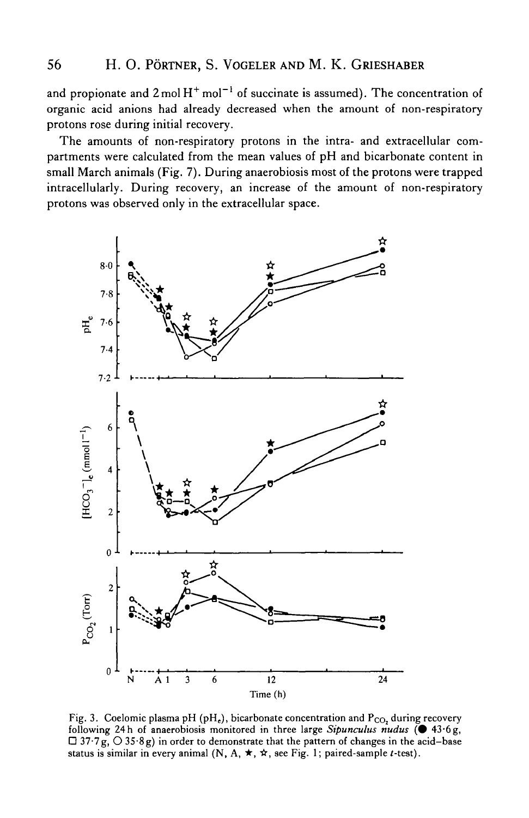and propionate and 2 mol  $\rm H^+$  mol $^{-1}$  of succinate is assumed). The concentration of organic acid anions had already decreased when the amount of non-respiratory protons rose during initial recovery.

The amounts of non-respiratory protons in the intra- and extracellular compartments were calculated from the mean values of pH and bicarbonate content in small March animals (Fig. 7). During anaerobiosis most of the protons were trapped intracellularly. During recovery, an increase of the amount of non-respiratory protons was observed only in the extracellular space.



Fig. 3. Coelomic plasma pH (pH<sub>e</sub>), bicarbonate concentration and  $P_{CO}$ , during recovery following 24h of anaerobiosis monitored in three large Sipunculus nudus ( $\bullet$  43.6g,  $\Box$  37.7g,  $\bigcirc$  35.8g) in order to demonstrate that the pattern of changes in the acid-base status is similar in every animal (N, A,  $\star$ ,  $\star$ , see Fig. 1; paired-sample *t*-test).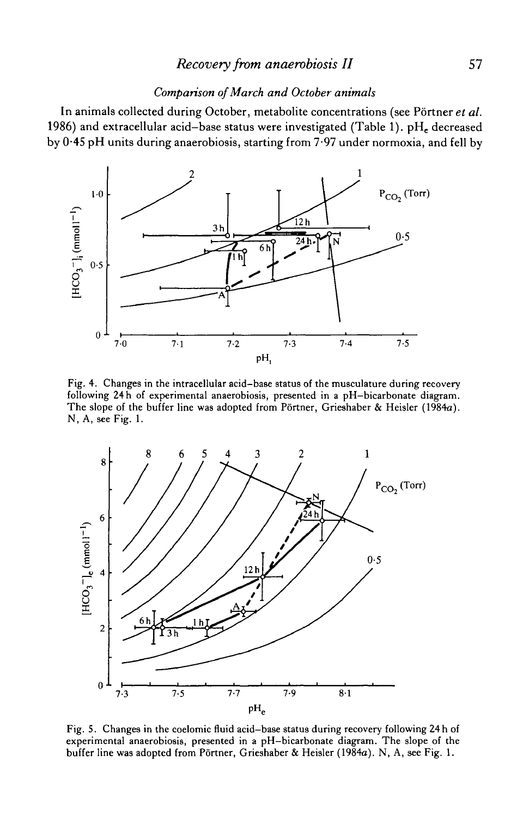## *Recovery from anaerobiosis II* 57

### *Comparison of March and October animals*

In animals collected during October, metabolite concentrations (see Portner *et al.* 1986) and extracellular acid-base status were investigated (Table 1).  $pH_e$  decreased by 0-45 pH units during anaerobiosis, starting from 7-97 under normoxia, and fell by



Fig. 4. Changes in the intracellular acid-base status of the musculature during recovery following 24 h of experimental anaerobiosis, presented in a pH-bicarbonate diagram. The slope of the buffer line was adopted from Pörtner, Grieshaber & Heisler (1984a). N, A, see Fig. 1.



Fig. 5. Changes in the coelomic fluid acid-base status during recovery following 24 h of experimental anaerobiosis, presented in a pH-bicarbonate diagram. The slope of the buffer line was adopted from Portner, Grieshaber & Heisler (1984a). N, A, see Fig. 1.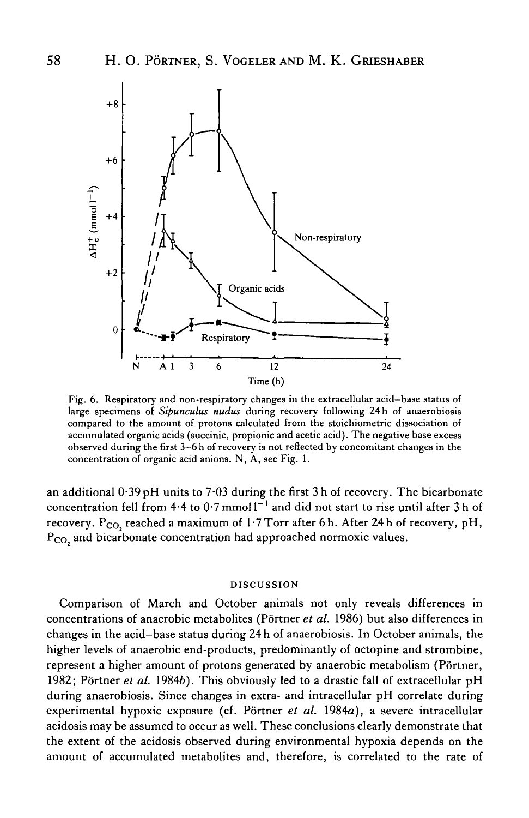

Fig. 6. Respiratory and non-respiratory changes in the extracellular acid—base status of large specimens of *Sipunculus nudus* during recovery following 24 h of anaerobiosis compared to the amount of protons calculated from the stoichiometric dissociation of accumulated organic acids (succinic, propionic and acetic acid). The negative base excess observed during the first 3-6 h of recovery is not reflected by concomitant changes in the concentration of organic acid anions. N, A, see Fig. 1.

an additional  $0.39$  pH units to  $7.03$  during the first 3 h of recovery. The bicarbonate concentration fell from 4.4 to  $0.7$  mmol  $1^{-1}$  and did not start to rise until after 3 h of recovery.  $P_{CO_2}$  reached a maximum of 1.7 Torr after 6h. After 24h of recovery, pH, P<sub>CO</sub>, and bicarbonate concentration had approached normoxic values.

#### DISCUSSION

Comparison of March and October animals not only reveals differences in concentrations of anaerobic metabolites (Portner *et al.* 1986) but also differences in changes in the acid-base status during 24 h of anaerobiosis. In October animals, the higher levels of anaerobic end-products, predominantly of octopine and strombine, represent a higher amount of protons generated by anaerobic metabolism (Pörtner, 1982; Portner *et al.* 19846). This obviously led to a drastic fall of extracellular pH during anaerobiosis. Since changes in extra- and intracellular pH correlate during experimental hypoxic exposure (cf. Portner *et al.* 1984a), a severe intracellular acidosis may be assumed to occur as well. These conclusions clearly demonstrate that the extent of the acidosis observed during environmental hypoxia depends on the amount of accumulated metabolites and, therefore, is correlated to the rate of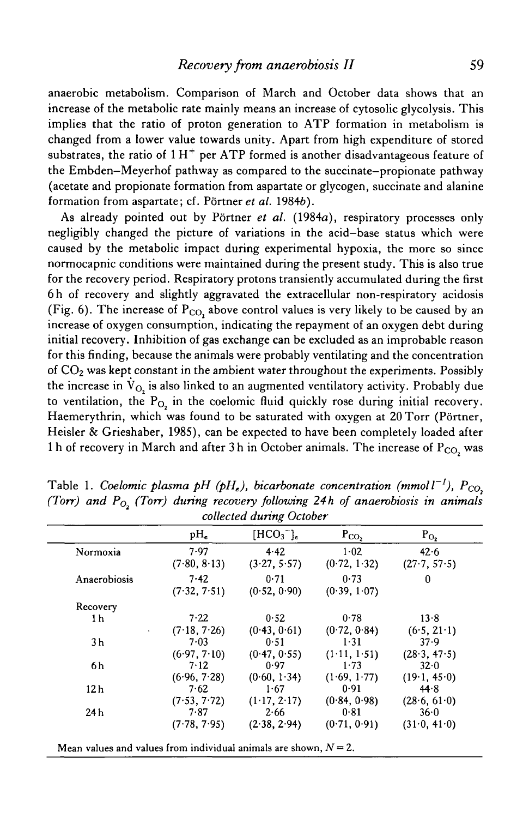anaerobic metabolism. Comparison of March and October data shows that an increase of the metabolic rate mainly means an increase of cytosolic glycolysis. This implies that the ratio of proton generation to ATP formation in metabolism is changed from a lower value towards unity. Apart from high expenditure of stored substrates, the ratio of  $1H^+$  per ATP formed is another disadvantageous feature of the Embden-Meyerhof pathway as compared to the succinate-propionate pathway (acetate and propionate formation from aspartate or glycogen, succinate and alanine formation from aspartate; cf. Portner et *al.* 19846).

As already pointed out by Portner *et al.* (1984a), respiratory processes only negligibly changed the picture of variations in the acid—base status which were caused by the metabolic impact during experimental hypoxia, the more so since normocapnic conditions were maintained during the present study. This is also true for the recovery period. Respiratory protons transiently accumulated during the first 6h of recovery and slightly aggravated the extracellular non-respiratory acidosis (Fig. 6). The increase of  $P_{CO}$ , above control values is very likely to be caused by an increase of oxygen consumption, indicating the repayment of an oxygen debt during initial recovery. Inhibition of gas exchange can be excluded as an improbable reason for this finding, because the animals were probably ventilating and the concentration of  $CO<sub>2</sub>$  was kept constant in the ambient water throughout the experiments. Possibly the increase in  $\dot{V}_{O_1}$  is also linked to an augmented ventilatory activity. Probably due to ventilation, the  $P_{O_2}$  in the coelomic fluid quickly rose during initial recovery. Haemerythrin, which was found to be saturated with oxygen at 20 Torr (Pörtner, Heisler & Grieshaber, 1985), can be expected to have been completely loaded after 1 h of recovery in March and after 3 h in October animals. The increase of  $P_{CO}$  was

|                 | $pH_e$               | $[\text{HCO}_3^-]_c$ | $P_{CO_2}$           | $P_{O_2}$            |
|-----------------|----------------------|----------------------|----------------------|----------------------|
| Normoxia        | 7.97<br>(7.80, 8.13) | 4.42<br>(3.27, 5.57) | 1.02<br>(0.72, 1.32) | 42.6<br>(27.7, 57.5) |
| Anaerobiosis    | 7.42<br>(7.32, 7.51) | 0.71<br>(0.52, 0.90) | 0.73<br>(0.39, 1.07) | 0                    |
| Recovery        |                      |                      |                      |                      |
| 1 h             | 7.22                 | 0.52                 | 0.78                 | 13.8                 |
|                 | (7.18, 7.26)         | (0.43, 0.61)         | (0.72, 0.84)         | (6.5, 21.1)          |
| 3 <sub>h</sub>  | 7.03                 | 0.51                 | $1 - 31$             | 37.9                 |
|                 | (6.97, 7.10)         | (0.47, 0.55)         | (1.11, 1.51)         | (28.3, 47.5)         |
| 6 h             | 7.12                 | 0.97                 | 1.73                 | 32.0                 |
|                 | (6.96, 7.28)         | (0.60, 1.34)         | (1.69, 1.77)         | (19.1, 45.0)         |
| 12 <sub>h</sub> | 7.62                 | 1.67                 | 0.91                 | 44.8                 |
|                 | (7.53, 7.72)         | (1.17, 2.17)         | (0.84, 0.98)         | (28.6, 61.0)         |
| 24h             | 7.87                 | 2.66                 | 0.81                 | 36.0                 |
|                 | (7.78, 7.95)         | (2.38, 2.94)         | (0.71, 0.91)         | (31.0, 41.0)         |

Table 1. Coelomic plasma pH (pH<sub>e</sub>), bicarbonate concentration (mmoll<sup>-1</sup>),  $P_{CO_2}$ *(Torr) and Po (Torr) during recovery follovnng 24 h of anaerobiosis in animals collected during October*

Mean values and values from individual animals are shown, *N=2.*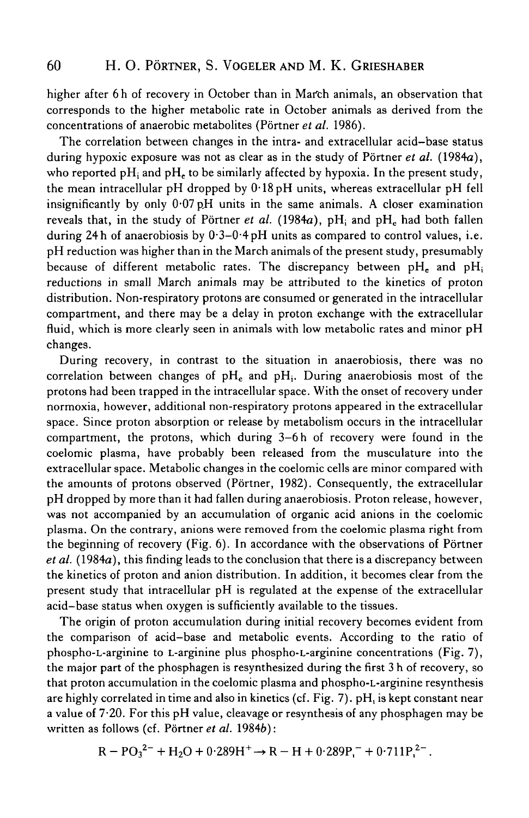higher after 6 h of recovery in October than in Marth animals, an observation that corresponds to the higher metabolic rate in October animals as derived from the concentrations of anaerobic metabolites (Portner *et al.* 1986).

The correlation between changes in the intra- and extracellular acid-base status during hypoxic exposure was not as clear as in the study of Pörtner et al. (1984a), who reported pH<sub>i</sub> and pH<sub>r</sub> to be similarly affected by hypoxia. In the present study, the mean intracellular pH dropped by  $0.18pH$  units, whereas extracellular pH fell insignificantly by only 0-07 pH units in the same animals. A closer examination reveals that, in the study of Pörtner *et al.* (1984a),  $pH_i$  and  $pH_e$  had both fallen during 24 h of anaerobiosis by  $0.3-0.4$  pH units as compared to control values, i.e. pH reduction was higher than in the March animals of the present study, presumably because of different metabolic rates. The discrepancy between  $pH_c$  and  $pH_i$ reductions in small March animals may be attributed to the kinetics of proton distribution. Non-respiratory protons are consumed or generated in the intracellular compartment, and there may be a delay in proton exchange with the extracellular fluid, which is more clearly seen in animals with low metabolic rates and minor pH changes.

During recovery, in contrast to the situation in anaerobiosis, there was no correlation between changes of  $pH_e$  and  $pH_i$ . During anaerobiosis most of the protons had been trapped in the intracellular space. With the onset of recovery under normoxia, however, additional non-respiratory protons appeared in the extracellular space. Since proton absorption or release by metabolism occurs in the intracellular compartment, the protons, which during 3-6 h of recovery were found in the coelomic plasma, have probably been released from the musculature into the extracellular space. Metabolic changes in the coelomic cells are minor compared with the amounts of protons observed (Portner, 1982). Consequently, the extracellular pH dropped by more than it had fallen during anaerobiosis. Proton release, however, was not accompanied by an accumulation of organic acid anions in the coelomic plasma. On the contrary, anions were removed from the coelomic plasma right from the beginning of recovery (Fig. 6). In accordance with the observations of Portner *et al.* (1984a), this finding leads to the conclusion that there is a discrepancy between the kinetics of proton and anion distribution. In addition, it becomes clear from the present study that intracellular pH is regulated at the expense of the extracellular acid-base status when oxygen is sufficiently available to the tissues.

The origin of proton accumulation during initial recovery becomes evident from the comparison of acid-base and metabolic events. According to the ratio of phospho-L-arginine to L-arginine plus phospho-L-arginine concentrations (Fig. 7), the major part of the phosphagen is resynthesized during the first 3 h of recovery, so that proton accumulation in the coelomic plasma and phospho-L-arginine resynthesis are highly correlated in time and also in kinetics (cf. Fig. 7). pH, is kept constant near a value of  $7.20$ . For this pH value, cleavage or resynthesis of any phosphagen may be written as follows (cf. Portner *et al.* 19846):

$$
R = PO_3^{2-} + H_2O + 0.289H^+ \rightarrow R - H + 0.289P_1^- + 0.711P_1^{2-}.
$$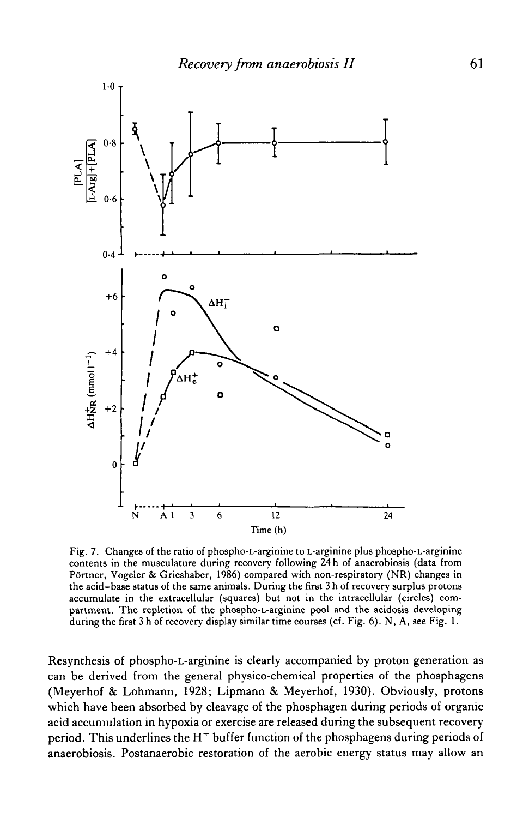

Fig. 7. Changes of the ratio of phospho-L-arginine to L-arginine plus phospho-L-arginine contents in the musculature during recovery following 24 h of anaerobiosis (data from P6rtner, Vogeler & Grieshaber, 1986) compared with non-respiratory (NR) changes in the acid-base status of the same animals. During the first 3 h of recovery surplus protons accumulate in the extracellular (squares) but not in the intracellular (circles) compartment. The repletion of the phospho-L-arginine pool and the acidosis developing during the first 3 h of recovery display similar time courses (cf. Fig. 6). N, A, see Fig. 1.

Resynthesis of phospho-L-arginine is clearly accompanied by proton generation as can be derived from the general physico-chemical properties of the phosphagens (Meyerhof & Lohmann, 1928; Lipmann & Meyerhof, 1930). Obviously, protons which have been absorbed by cleavage of the phosphagen during periods of organic acid accumulation in hypoxia or exercise are released during the subsequent recovery period. This underlines the H<sup>+</sup> buffer function of the phosphagens during periods of anaerobiosis. Postanaerobic restoration of the aerobic energy status may allow an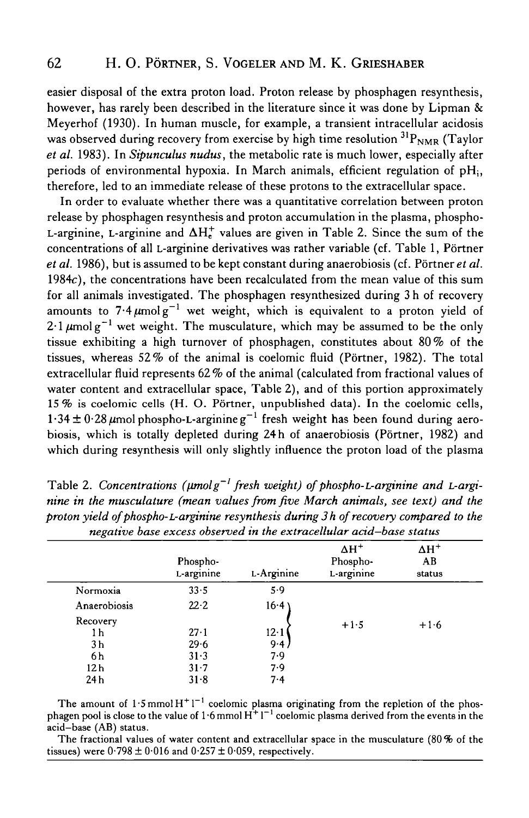easier disposal of the extra proton load. Proton release by phosphagen resynthesis, however, has rarely been described in the literature since it was done by Lipman & Meyerhof (1930). In human muscle, for example, a transient intracellular acidosis was observed during recovery from exercise by high time resolution  ${}^{31}P_{NMR}$  (Taylor *et al.* 1983). In *Sipunculus nudus,* the metabolic rate is much lower, especially after periods of environmental hypoxia. In March animals, efficient regulation of pH;, therefore, led to an immediate release of these protons to the extracellular space.

In order to evaluate whether there was a quantitative correlation between proton release by phosphagen resynthesis and proton accumulation in the plasma, phospho-L-arginine, L-arginine and  $\Delta H_r^+$  values are given in Table 2. Since the sum of the concentrations of all L-arginine derivatives was rather variable (cf. Table 1, Portner *et al.* 1986), but is assumed to be kept constant during anaerobiosis (cf. Portner *et al.* 1984c), the concentrations have been recalculated from the mean value of this sum for all animals investigated. The phosphagen resynthesized during 3h of recovery amounts to  $7.4 \mu$ molg<sup>-1</sup> wet weight, which is equivalent to a proton yield of 2.1  $\mu$ molg<sup>-1</sup> wet weight. The musculature, which may be assumed to be the only tissue exhibiting a high turnover of phosphagen, constitutes about 80% of the tissues, whereas 52% of the animal is coelomic fluid (Portner, 1982). The total extracellular fluid represents 62 % of the animal (calculated from fractional values of water content and extracellular space, Table 2), and of this portion approximately 15% is coelomic cells (H. O. Portner, unpublished data). In the coelomic cells,  $1.34 \pm 0.28 \,\mu$ mol phospho-L-arginine g<sup>-1</sup> fresh weight has been found during aerobiosis, which is totally depleted during 24h of anaerobiosis (Pörtner, 1982) and which during resynthesis will only slightly influence the proton load of the plasma

|                 | Phospho-<br>L-arginine | L-Arginine   | $\Delta H^+$<br>Phospho-<br>L-arginine | $\Delta H^+$<br>AB<br>status |
|-----------------|------------------------|--------------|----------------------------------------|------------------------------|
| Normoxia        | 33.5                   | 5.9          | $+1.5$                                 | $+1.6$                       |
| Anaerobiosis    | 22.2                   | 16.4         |                                        |                              |
| Recovery<br>1 h | $27 - 1$               | $12 \cdot 1$ |                                        |                              |
| 3 <sub>h</sub>  | 29.6                   | 9.4          |                                        |                              |
| 6 h             | 31.3                   | 7.9          |                                        |                              |
| 12 h            | $31 - 7$               | 7.9          |                                        |                              |
| 24 h            | $31-8$                 | 7.4          |                                        |                              |

Table 2. Concentrations ( $\mu$ molg<sup>-1</sup> fresh weight) of phospho-L-arginine and L-argi*nine in the musculature (mean values from five March animals, see text) and the proton yield of phospho-L-arginine resynthesis during 3 h of recovery compared to the*

The amount of  $1.5$  mmol  $H^+1^{-1}$  coelomic plasma originating from the repletion of the phosphagen pool is close to the value of 1.6 mmol  $H^+1^{-1}$  coelomic plasma derived from the events in the acid-base (AB) status.

The fractional values of water content and extracellular space in the musculature  $(80\,\%$  of the tissues) were  $0.798 \pm 0.016$  and  $0.257 \pm 0.059$ , respectively.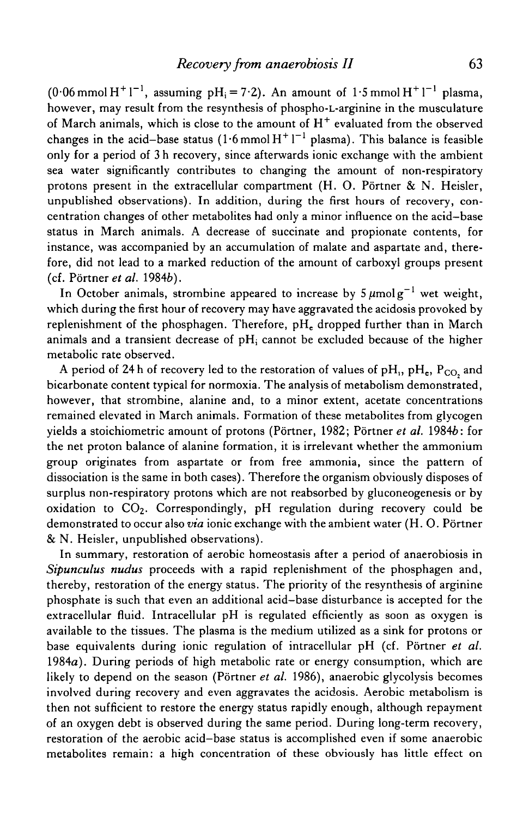(0·06 mmol H<sup>+</sup> l<sup>-1</sup>, assuming pH<sub>i</sub> = 7·2). An amount of 1·5 mmol H<sup>+</sup> l<sup>-1</sup> plasma, however, may result from the resynthesis of phospho-L-arginine in the musculature of March animals, which is close to the amount of  $H^+$  evaluated from the observed changes in the acid-base status  $(1.6 \text{ mmol H}^+ l^{-1} \text{ plasma})$ . This balance is feasible only for a period of 3 h recovery, since afterwards ionic exchange with the ambient sea water significantly contributes to changing the amount of non-respiratory protons present in the extracellular compartment (H. O. Pörtner  $\& N$ . Heisler, unpublished observations). In addition, during the first hours of recovery, concentration changes of other metabolites had only a minor influence on the acid-base status in March animals. A decrease of succinate and propionate contents, for instance, was accompanied by an accumulation of malate and aspartate and, therefore, did not lead to a marked reduction of the amount of carboxyl groups present (cf. Portner *et al.* 19846).

In October animals, strombine appeared to increase by 5  $\mu$ molg<sup>-1</sup> wet weight, which during the first hour of recovery may have aggravated the acidosis provoked by replenishment of the phosphagen. Therefore, pH<sub>c</sub> dropped further than in March animals and a transient decrease of  $pH_i$  cannot be excluded because of the higher metabolic rate observed.

A period of 24 h of recovery led to the restoration of values of pH<sub>1</sub>, pH<sub>e</sub>, P<sub>CO<sub>2</sub></sub> and bicarbonate content typical for normoxia. The analysis of metabolism demonstrated, however, that strombine, alanine and, to a minor extent, acetate concentrations remained elevated in March animals. Formation of these metabolites from glycogen yields a stoichiometric amount of protons (Portner, 1982; Portner *et al.* 19846: for the net proton balance of alanine formation, it is irrelevant whether the ammonium group originates from aspartate or from free ammonia, since the pattern of dissociation is the same in both cases). Therefore the organism obviously disposes of surplus non-respiratory protons which are not reabsorbed by gluconeogenesis or by oxidation to  $CO<sub>2</sub>$ . Correspondingly, pH regulation during recovery could be demonstrated to occur also *via* ionic exchange with the ambient water (H. O. Portner & N. Heisler, unpublished observations).

In summary, restoration of aerobic homeostasis after a period of anaerobiosis in *Sipunculus nudus* proceeds with a rapid replenishment of the phosphagen and, thereby, restoration of the energy status. The priority of the resynthesis of arginine phosphate is such that even an additional acid-base disturbance is accepted for the extracellular fluid. Intracellular pH is regulated efficiently as soon as oxygen is available to the tissues. The plasma is the medium utilized as a sink for protons or base equivalents during ionic regulation of intracellular pH (cf. Portner *et al.* 1984a). During periods of high metabolic rate or energy consumption, which are likely to depend on the season (Portner *et al.* 1986), anaerobic glycolysis becomes involved during recovery and even aggravates the acidosis. Aerobic metabolism is then not sufficient to restore the energy status rapidly enough, although repayment of an oxygen debt is observed during the same period. During long-term recovery, restoration of the aerobic acid—base status is accomplished even if some anaerobic metabolites remain: a high concentration of these obviously has little effect on